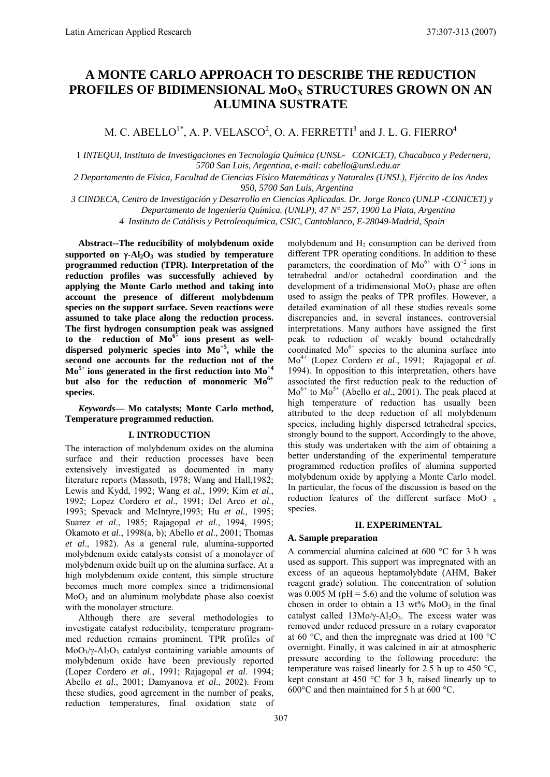# **A MONTE CARLO APPROACH TO DESCRIBE THE REDUCTION PROFILES OF BIDIMENSIONAL MoOX STRUCTURES GROWN ON AN ALUMINA SUSTRATE**

M. C. ABELLO $^{1*}$ , A. P. VELASCO $^{2}$ , O. A. FERRETTI $^{3}$  and J. L. G. FIERRO $^{4}$ 

1 *INTEQUI, Instituto de Investigaciones en Tecnología Química (UNSL- CONICET), Chacabuco y Pedernera, 5700 San Luis, Argentina, e-mail: cabello@unsl.edu.ar* 

*2 Departamento de Física, Facultad de Ciencias Físico Matemáticas y Naturales (UNSL), Ejército de los Andes 950, 5700 San Luis, Argentina* 

*3 CINDECA, Centro de Investigación y Desarrollo en Ciencias Aplicadas. Dr. Jorge Ronco (UNLP -CONICET) y* 

*Departamento de Ingeniería Química. (UNLP), 47 N° 257, 1900 La Plata, Argentina* 

*4 Instituto de Catálisis y Petroleoquímica, CSIC, Cantoblanco, E-28049-Madrid, Spain*

**Abstract--The reducibility of molybdenum oxide** supported on  $\gamma$ -Al<sub>2</sub>O<sub>3</sub> was studied by temperature **programmed reduction (TPR). Interpretation of the reduction profiles was successfully achieved by applying the Monte Carlo method and taking into account the presence of different molybdenum species on the support surface. Seven reactions were assumed to take place along the reduction process. The first hydrogen consumption peak was assigned**  to the reduction of  $Mo^{6+}$  ions present as well**dispersed polymeric species into Mo+5, while the second one accounts for the reduction not of the Mo5+ ions generated in the first reduction into Mo +4 but also for the reduction of monomeric Mo6+ species.** 

*Keywords***— Mo catalysts; Monte Carlo method, Temperature programmed reduction.** 

#### **I. INTRODUCTION**

The interaction of molybdenum oxides on the alumina surface and their reduction processes have been extensively investigated as documented in many literature reports (Massoth, 1978; Wang and Hall,1982; Lewis and Kydd, 1992; Wang *et al*., 1999; Kim *et al*., 1992; Lopez Cordero *et al*., 1991; Del Arco *et al*., 1993; Spevack and McIntyre,1993; Hu *et al.*, 1995; Suarez *et al*., 1985; Rajagopal *et al*., 1994, 1995; Okamoto *et al*., 1998(a, b); Abello *et al*., 2001; Thomas *et al*., 1982). As a general rule, alumina-supported molybdenum oxide catalysts consist of a monolayer of molybdenum oxide built up on the alumina surface. At a high molybdenum oxide content, this simple structure becomes much more complex since a tridimensional  $MoO<sub>3</sub>$  and an aluminum molybdate phase also coexist with the monolayer structure.

Although there are several methodologies to investigate catalyst reducibility, temperature programmed reduction remains prominent. TPR profiles of  $MoO<sub>3</sub>/\gamma-A<sub>2</sub>O<sub>3</sub>$  catalyst containing variable amounts of molybdenum oxide have been previously reported (Lopez Cordero *et al*., 1991; Rajagopal *et al*. 1994; Abello *et al*., 2001; Damyanova *et al*., 2002). From these studies, good agreement in the number of peaks, reduction temperatures, final oxidation state of

molybdenum and  $H<sub>2</sub>$  consumption can be derived from different TPR operating conditions. In addition to these parameters, the coordination of  $Mo^{6+}$  with  $O^{-2}$  ions in tetrahedral and/or octahedral coordination and the development of a tridimensional  $MoO<sub>3</sub>$  phase are often used to assign the peaks of TPR profiles. However, a detailed examination of all these studies reveals some discrepancies and, in several instances, controversial interpretations. Many authors have assigned the first peak to reduction of weakly bound octahedrally coordinated Mo 6+ species to the alumina surface into Mo4+ (Lopez Cordero *et al*., 1991; Rajagopal *et al*. 1994). In opposition to this interpretation, others have associated the first reduction peak to the reduction of  $Mo<sup>6+</sup>$  to  $Mo<sup>5+</sup>$  (Abello *et al.*, 2001). The peak placed at high temperature of reduction has usually been attributed to the deep reduction of all molybdenum species, including highly dispersed tetrahedral species, strongly bound to the support. Accordingly to the above, this study was undertaken with the aim of obtaining a better understanding of the experimental temperature programmed reduction profiles of alumina supported molybdenum oxide by applying a Monte Carlo model. In particular, the focus of the discussion is based on the reduction features of the different surface MoO x species.

#### **II. EXPERIMENTAL**

#### **A. Sample preparation**

A commercial alumina calcined at 600 °C for 3 h was used as support. This support was impregnated with an excess of an aqueous heptamolybdate (AHM, Baker reagent grade) solution. The concentration of solution was  $0.005$  M (pH = 5.6) and the volume of solution was chosen in order to obtain a 13 wt%  $MoO<sub>3</sub>$  in the final catalyst called  $13M_0/\gamma$ -Al<sub>2</sub>O<sub>3</sub>. The excess water was removed under reduced pressure in a rotary evaporator at 60  $\degree$ C, and then the impregnate was dried at 100  $\degree$ C overnight. Finally, it was calcined in air at atmospheric pressure according to the following procedure: the temperature was raised linearly for 2.5 h up to 450  $^{\circ}$ C, kept constant at 450 °C for 3 h, raised linearly up to 600°C and then maintained for 5 h at 600 °C.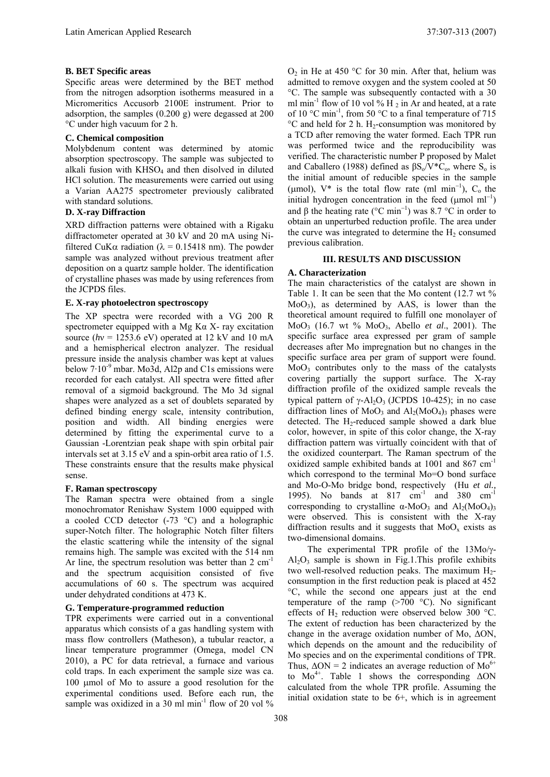# **B. BET Specific areas**

Specific areas were determined by the BET method from the nitrogen adsorption isotherms measured in a Micromeritics Accusorb 2100E instrument. Prior to adsorption, the samples (0.200 g) were degassed at 200 °C under high vacuum for 2 h.

## **C. Chemical composition**

Molybdenum content was determined by atomic absorption spectroscopy. The sample was subjected to alkali fusion with  $KHSO<sub>4</sub>$  and then disolved in diluted HCl solution. The measurements were carried out using a Varian AA275 spectrometer previously calibrated with standard solutions.

# **D. X-ray Diffraction**

XRD diffraction patterns were obtained with a Rigaku diffractometer operated at 30 kV and 20 mA using Nifiltered CuK $\alpha$  radiation ( $\lambda = 0.15418$  nm). The powder sample was analyzed without previous treatment after deposition on a quartz sample holder. The identification of crystalline phases was made by using references from the JCPDS files.

# **E. X-ray photoelectron spectroscopy**

The XP spectra were recorded with a VG 200 R spectrometer equipped with a Mg  $K\alpha$  X- ray excitation source  $(hv = 1253.6$  eV) operated at 12 kV and 10 mA and a hemispherical electron analyzer. The residual pressure inside the analysis chamber was kept at values below  $7.10^{-9}$  mbar. Mo3d, Al2p and C1s emissions were recorded for each catalyst. All spectra were fitted after removal of a sigmoid background. The Mo 3d signal shapes were analyzed as a set of doublets separated by defined binding energy scale, intensity contribution, position and width. All binding energies were determined by fitting the experimental curve to a Gaussian -Lorentzian peak shape with spin orbital pair intervals set at 3.15 eV and a spin-orbit area ratio of 1.5. These constraints ensure that the results make physical sense.

#### **F. Raman spectroscopy**

The Raman spectra were obtained from a single monochromator Renishaw System 1000 equipped with a cooled CCD detector (-73 °C) and a holographic super-Notch filter. The holographic Notch filter filters the elastic scattering while the intensity of the signal remains high. The sample was excited with the 514 nm Ar line, the spectrum resolution was better than  $2 \text{ cm}^{-1}$ and the spectrum acquisition consisted of five accumulations of 60 s. The spectrum was acquired under dehydrated conditions at 473 K.

#### **G. Temperature-programmed reduction**

TPR experiments were carried out in a conventional apparatus which consists of a gas handling system with mass flow controllers (Matheson), a tubular reactor, a linear temperature programmer (Omega, model CN 2010), a PC for data retrieval, a furnace and various cold traps. In each experiment the sample size was ca.  $100 \mu$  mol of Mo to assure a good resolution for the experimental conditions used. Before each run, the sample was oxidized in a 30 ml min<sup>-1</sup> flow of 20 vol %

 $O_2$  in He at 450 °C for 30 min. After that, helium was admitted to remove oxygen and the system cooled at 50 °C. The sample was subsequently contacted with a 30 ml min<sup>-1</sup> flow of 10 vol % H<sub>2</sub> in Ar and heated, at a rate of 10  $^{\circ}$ C min<sup>-1</sup>, from 50  $^{\circ}$ C to a final temperature of 715  $\rm{^{\circ}C}$  and held for 2 h. H<sub>2</sub>-consumption was monitored by a TCD after removing the water formed. Each TPR run was performed twice and the reproducibility was verified. The characteristic number P proposed by Malet and Caballero (1988) defined as  $\beta S_0/V^*C_0$ , where  $S_0$  is the initial amount of reducible species in the sample ( $\mu$ mol), V<sup>\*</sup> is the total flow rate (ml min<sup>-1</sup>), C<sub>o</sub> the initial hydrogen concentration in the feed  $(\mu$ mol ml<sup>-1</sup>) and  $\beta$  the heating rate (°C min<sup>-1</sup>) was 8.7 °C in order to obtain an unperturbed reduction profile. The area under the curve was integrated to determine the  $H_2$  consumed previous calibration.

### **III. RESULTS AND DISCUSSION**

#### **A. Characterization**

The main characteristics of the catalyst are shown in Table 1. It can be seen that the Mo content (12.7 wt %  $MoO<sub>3</sub>$ ), as determined by AAS, is lower than the theoretical amount required to fulfill one monolayer of MoO3 (16.7 wt % MoO3, Abello *et al*., 2001). The specific surface area expressed per gram of sample decreases after Mo impregnation but no changes in the specific surface area per gram of support were found.  $MoO<sub>3</sub>$  contributes only to the mass of the catalysts covering partially the support surface. The X-ray diffraction profile of the oxidized sample reveals the typical pattern of  $\gamma$ -Al<sub>2</sub>O<sub>3</sub> (JCPDS 10-425); in no case diffraction lines of  $MoO<sub>3</sub>$  and  $Al<sub>2</sub>(MoO<sub>4</sub>)<sub>3</sub>$  phases were detected. The  $H_2$ -reduced sample showed a dark blue color, however, in spite of this color change, the X-ray diffraction pattern was virtually coincident with that of the oxidized counterpart. The Raman spectrum of the oxidized sample exhibited bands at 1001 and 867 cm-1 which correspond to the terminal Mo=O bond surface and Mo-O-Mo bridge bond, respectively (Hu *et al.,* 1995). No bands at 817 cm<sup>-1</sup> and 380 cm<sup>-1</sup> corresponding to crystalline  $\alpha$ -MoO<sub>3</sub> and Al<sub>2</sub>(MoO<sub>4</sub>)<sub>3</sub> were observed. This is consistent with the X-ray diffraction results and it suggests that  $MoO<sub>x</sub>$  exists as two-dimensional domains.

The experimental TPR profile of the  $13\text{Mo}/\gamma$ - $Al_2O_3$  sample is shown in Fig.1. This profile exhibits two well-resolved reduction peaks. The maximum  $H_2$ consumption in the first reduction peak is placed at 452 °C, while the second one appears just at the end temperature of the ramp  $(>=700 \degree C)$ . No significant effects of  $H_2$  reduction were observed below 300 °C. The extent of reduction has been characterized by the change in the average oxidation number of Mo,  $\Delta ON$ , which depends on the amount and the reducibility of Mo species and on the experimental conditions of TPR. Thus,  $\Delta ON = 2$  indicates an average reduction of  $Mo^{6+}$ to  $Mo^{4+}$ . Table 1 shows the corresponding  $\Delta ON$ calculated from the whole TPR profile. Assuming the initial oxidation state to be 6+, which is in agreement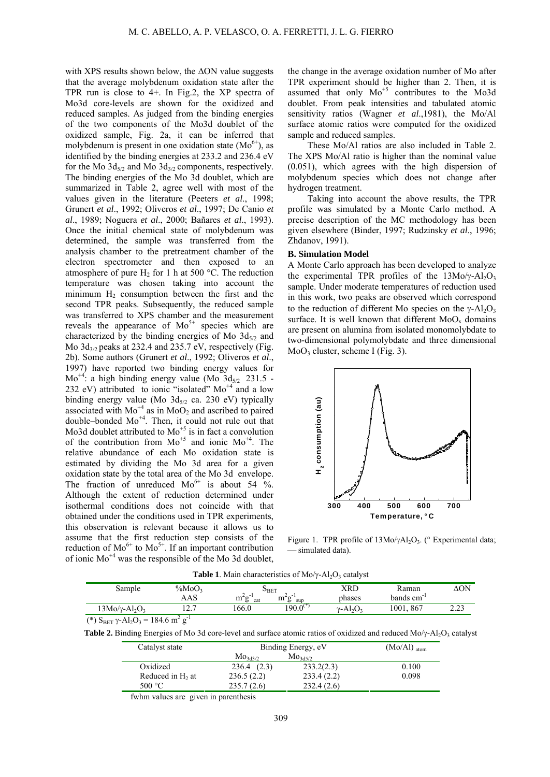with XPS results shown below, the  $\Delta ON$  value suggests that the average molybdenum oxidation state after the TPR run is close to 4+. In Fig.2, the XP spectra of Mo3d core-levels are shown for the oxidized and reduced samples. As judged from the binding energies of the two components of the Mo3d doublet of the oxidized sample, Fig. 2a, it can be inferred that molybdenum is present in one oxidation state  $(Mo<sup>6+</sup>)$ , as identified by the binding energies at 233.2 and 236.4 eV for the Mo  $3d_{5/2}$  and Mo  $3d_{3/2}$  components, respectively. The binding energies of the Mo 3d doublet, which are summarized in Table 2, agree well with most of the values given in the literature (Peeters *et al*., 1998; Grunert *et al*., 1992; Oliveros *et al*., 1997; De Canio *et al*., 1989; Noguera *et al*., 2000; Bañares *et al*., 1993). Once the initial chemical state of molybdenum was determined, the sample was transferred from the analysis chamber to the pretreatment chamber of the electron spectrometer and then exposed to an atmosphere of pure  $H_2$  for 1 h at 500 °C. The reduction temperature was chosen taking into account the minimum  $H_2$  consumption between the first and the second TPR peaks. Subsequently, the reduced sample was transferred to XPS chamber and the measurement reveals the appearance of  $Mo^{5+}$  species which are characterized by the binding energies of Mo  $3d_{5/2}$  and Mo  $3d_{3/2}$  peaks at 232.4 and 235.7 eV, respectively (Fig. 2b). Some authors (Grunert *et al*., 1992; Oliveros *et al*., 1997) have reported two binding energy values for  $Mo^{+4}$ : a high binding energy value (Mo  $3d_{5/2}$  231.5 -232 eV) attributed to ionic "isolated"  $Mo<sup>+4</sup>$  and a low binding energy value (Mo  $3d_{5/2}$  ca. 230 eV) typically associated with  $Mo^{+4}$  as in  $MoO<sub>2</sub>$  and ascribed to paired double–bonded Mo+4. Then, it could not rule out that Mo3d doublet attributed to  $Mo^{+5}$  is in fact a convolution of the contribution from  $Mo^{+5}$  and ionic  $Mo^{+4}$ . The relative abundance of each Mo oxidation state is estimated by dividing the Mo 3d area for a given oxidation state by the total area of the Mo 3d envelope. The fraction of unreduced  $Mo^{6+}$  is about 54 %. Although the extent of reduction determined under isothermal conditions does not coincide with that obtained under the conditions used in TPR experiments, this observation is relevant because it allows us to assume that the first reduction step consists of the reduction of  $Mo^{6+}$  to  $Mo^{5+}$ . If an important contribution of ionic  $Mo^{+4}$  was the responsible of the Mo 3d doublet,

the change in the average oxidation number of Mo after TPR experiment should be higher than 2. Then, it is assumed that only  $Mo^{+5}$  contributes to the Mo3d doublet. From peak intensities and tabulated atomic sensitivity ratios (Wagner *et al*.,1981), the Mo/Al surface atomic ratios were computed for the oxidized sample and reduced samples.

These Mo/Al ratios are also included in Table 2. The XPS Mo/Al ratio is higher than the nominal value (0.051), which agrees with the high dispersion of molybdenum species which does not change after hydrogen treatment.

Taking into account the above results, the TPR profile was simulated by a Monte Carlo method. A precise description of the MC methodology has been given elsewhere (Binder, 1997; Rudzinsky *et al*., 1996; Zhdanov, 1991).

#### **B. Simulation Model**

A Monte Carlo approach has been developed to analyze the experimental TPR profiles of the  $13M_0/\gamma$ -Al<sub>2</sub>O<sub>3</sub> sample. Under moderate temperatures of reduction used in this work, two peaks are observed which correspond to the reduction of different Mo species on the  $\gamma$ -Al<sub>2</sub>O<sub>3</sub> surface. It is well known that different  $MoO<sub>x</sub>$  domains are present on alumina from isolated monomolybdate to two-dimensional polymolybdate and three dimensional  $MoO<sub>3</sub> cluster, scheme I (Fig. 3).$ 



Figure 1. TPR profile of  $13Mo/\gamma Al_2O_3$ . ( $\circ$  Experimental data; simulated data).

| Sample                                         | $\%MoO_3$     | $D$ BET            |                 | XRD                  | Raman        | ΔΟΝ                 |
|------------------------------------------------|---------------|--------------------|-----------------|----------------------|--------------|---------------------|
|                                                | AAS           | $\sim$<br>m<br>cat | sup<br>111<br>, | phases               | bands cm     |                     |
| $13M_0/\gamma$ -Al <sub>2</sub> O <sub>3</sub> | $\sim$ $\sim$ | 166.0              | $190.0^\circ$   | $v$ -Al <sub>2</sub> | 1001.<br>867 | $\Omega$<br>ر ے . ے |
|                                                |               |                    |                 |                      |              |                     |

**Table 1**. Main characteristics of  $Mo/\gamma$ -Al<sub>2</sub>O<sub>3</sub> catalyst

(\*)  $S_{BET} \gamma - Al_2O_3 = 184.6 \text{ m}^2 \text{ g}^{-1}$ 

Table 2. Binding Energies of Mo 3d core-level and surface atomic ratios of oxidized and reduced Mo/ $\gamma$ -Al<sub>2</sub>O<sub>3</sub> catalyst

| Catalyst state               | Binding Energy, eV  | $(Mo/Al)$ <sub>atom</sub> |       |
|------------------------------|---------------------|---------------------------|-------|
|                              | Mo <sub>3d3/2</sub> | Mo <sub>3d5/2</sub>       |       |
| Oxidized                     | 236.4(2.3)          | 233.2(2.3)                | 0.100 |
| Reduced in H <sub>2</sub> at | 236.5(2.2)          | 233.4(2.2)                | 0.098 |
| 500 $^{\circ}$ C             | 235.7(2.6)          | 232.4(2.6)                |       |

fwhm values are given in parenthesis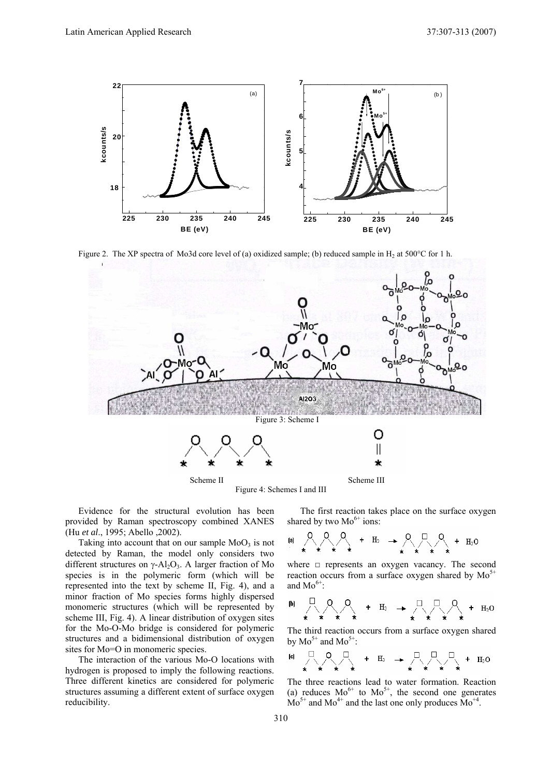

Figure 2. The XP spectra of Mo3d core level of (a) oxidized sample; (b) reduced sample in H<sub>2</sub> at 500°C for 1 h.



Figure 4: Schemes I and III

Evidence for the structural evolution has been provided by Raman spectroscopy combined XANES (Hu *et al*., 1995; Abello ,2002).

Taking into account that on our sample  $MoO<sub>3</sub>$  is not detected by Raman, the model only considers two different structures on  $\gamma$ -Al<sub>2</sub>O<sub>3</sub>. A larger fraction of Mo species is in the polymeric form (which will be represented into the text by scheme II, Fig. 4), and a minor fraction of Mo species forms highly dispersed monomeric structures (which will be represented by scheme III, Fig. 4). A linear distribution of oxygen sites for the Mo-O-Mo bridge is considered for polymeric structures and a bidimensional distribution of oxygen sites for Mo=O in monomeric species.

The interaction of the various Mo-O locations with hydrogen is proposed to imply the following reactions. Three different kinetics are considered for polymeric structures assuming a different extent of surface oxygen reducibility.

The first reaction takes place on the surface oxygen shared by two  $Mo^{6+}$  ions:

where  $\Box$  represents an oxygen vacancy. The second reaction occurs from a surface oxygen shared by  $Mo^{5+}$ and  $Mo^{6+}$ :

The third reaction occurs from a surface oxygen shared by  $Mo^{5+}$  and  $Mo^{5+}$ :

$$
\begin{array}{ccccccc}\n\text{[c]} & \square & \bigcirc & \square & & \longrightarrow & \square & & \square & & \square & & \square & \\
& \star & \star & \star & \star & & \star & & \star & \star & \star & \star & \end{array}
$$

The three reactions lead to water formation. Reaction (a) reduces  $Mo^{6+}$  to  $Mo^{5+}$ , the second one generates  $Mo^{5+}$  and  $Mo^{4+}$  and the last one only produces  $Mo^{+4}$ .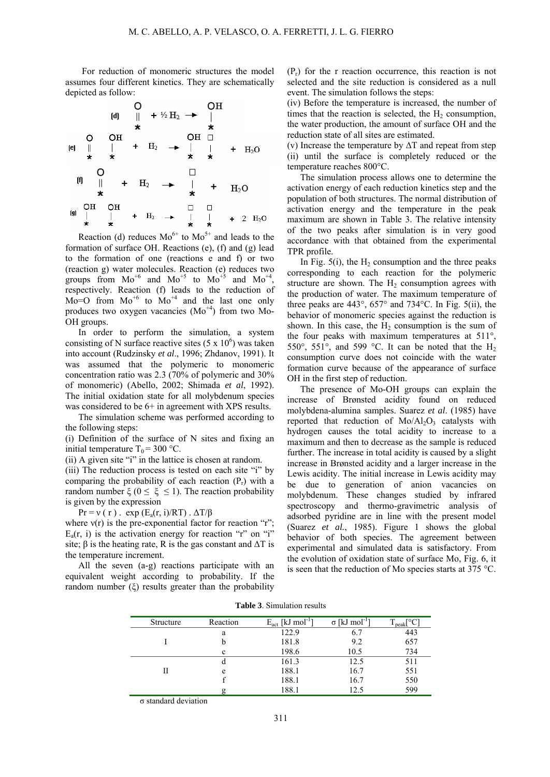For reduction of monomeric structures the model assumes four different kinetics. They are schematically depicted as follow:

| 0       | OH            |                |                |               |                |                |
|---------|---------------|----------------|----------------|---------------|----------------|----------------|
| (d)     | $\parallel$   | $+\frac{1}{2}$ | $\rightarrow$  | $\parallel$   |                |                |
| $\star$ | $\star$       | $\star$        |                |               |                |                |
| (e)     | $\parallel$   | $\parallel$    | $+\frac{1}{2}$ | $\rightarrow$ | $\parallel$    | $+\frac{1}{2}$ |
| (f)     | $\parallel$   | $+\frac{1}{2}$ | $\rightarrow$  | $\parallel$   | $+\frac{1}{2}$ |                |
| (g)     | $\frac{1}{2}$ | $\frac{1}{2}$  | $+\frac{1}{2}$ | $\rightarrow$ | $\frac{1}{2}$  |                |
| (h)     | $\frac{1}{2}$ | $+\frac{1}{2}$ | $\rightarrow$  | $\frac{1}{2}$ | $+\frac{1}{2}$ |                |
| (i)     | $\frac{1}{2}$ | $\frac{1}{2}$  | $+\frac{1}{2}$ | $\rightarrow$ | $\frac{1}{2}$  |                |
| (j)     | $\frac{1}{2}$ | $\frac{1}{2}$  | $+\frac{1}{2}$ | $\rightarrow$ | $\frac{1}{2}$  |                |

Reaction (d) reduces  $Mo^{6+}$  to  $Mo^{5+}$  and leads to the formation of surface OH. Reactions (e), (f) and (g) lead to the formation of one (reactions e and f) or two (reaction g) water molecules. Reaction (e) reduces two groups from  $Mo^{+6}$  and  $Mo^{+5}$  to  $Mo^{+5}$  and  $Mo^{+4}$ , respectively. Reaction (f) leads to the reduction of  $Mo=O$  from  $Mo^{+6}$  to  $Mo^{+4}$  and the last one only produces two oxygen vacancies  $(Mo<sup>+4</sup>)$  from two Mo-OH groups.

In order to perform the simulation, a system consisting of N surface reactive sites  $(5 \times 10^6)$  was taken into account (Rudzinsky *et al*., 1996; Zhdanov, 1991). It was assumed that the polymeric to monomeric concentration ratio was 2.3 (70% of polymeric and 30% of monomeric) (Abello, 2002; Shimada *et al*, 1992). The initial oxidation state for all molybdenum species was considered to be  $6+$  in agreement with XPS results.

The simulation scheme was performed according to the following steps:

(i) Definition of the surface of N sites and fixing an initial temperature  $T_0 = 300 \degree C$ .

(ii) A given site "i" in the lattice is chosen at random.

(iii) The reduction process is tested on each site "i" by comparing the probability of each reaction  $(P_r)$  with a random number  $\xi$  ( $0 \le \xi \le 1$ ). The reaction probability is given by the expression

 $Pr = v(r)$ .  $exp(E_a(r, i)/RT)$ .  $\Delta T/B$ 

where  $v(r)$  is the pre-exponential factor for reaction "r";  $E_a(r, i)$  is the activation energy for reaction "r" on "i" site;  $\beta$  is the heating rate, R is the gas constant and  $\Delta T$  is the temperature increment.

All the seven (a-g) reactions participate with an equivalent weight according to probability. If the random number  $(\xi)$  results greater than the probability  $(P_r)$  for the r reaction occurrence, this reaction is not selected and the site reduction is considered as a null event. The simulation follows the steps:

(iv) Before the temperature is increased, the number of times that the reaction is selected, the  $H<sub>2</sub>$  consumption, the water production, the amount of surface OH and the reduction state of all sites are estimated.

(v) Increase the temperature by  $\Delta T$  and repeat from step (ii) until the surface is completely reduced or the temperature reaches 800°C.

The simulation process allows one to determine the activation energy of each reduction kinetics step and the population of both structures. The normal distribution of activation energy and the temperature in the peak maximum are shown in Table 3. The relative intensity of the two peaks after simulation is in very good accordance with that obtained from the experimental TPR profile.

In Fig.  $5(i)$ , the H<sub>2</sub> consumption and the three peaks corresponding to each reaction for the polymeric structure are shown. The  $H_2$  consumption agrees with the production of water. The maximum temperature of three peaks are  $443^{\circ}$ ,  $657^{\circ}$  and  $734^{\circ}$ C. In Fig.  $5(ii)$ , the behavior of monomeric species against the reduction is shown. In this case, the  $H_2$  consumption is the sum of the four peaks with maximum temperatures at 511°, 550 $^{\circ}$ , 551 $^{\circ}$ , and 599  $^{\circ}$ C. It can be noted that the H<sub>2</sub> consumption curve does not coincide with the water formation curve because of the appearance of surface OH in the first step of reduction.

The presence of Mo-OH groups can explain the increase of Brønsted acidity found on reduced molybdena-alumina samples. Suarez *et al*. (1985) have reported that reduction of  $Mo/Al_2O_3$  catalysts with hydrogen causes the total acidity to increase to a maximum and then to decrease as the sample is reduced further. The increase in total acidity is caused by a slight increase in Brønsted acidity and a larger increase in the Lewis acidity. The initial increase in Lewis acidity may be due to generation of anion vacancies on molybdenum. These changes studied by infrared spectroscopy and thermo-gravimetric analysis of adsorbed pyridine are in line with the present model (Suarez *et al.*, 1985). Figure 1 shows the global behavior of both species. The agreement between experimental and simulated data is satisfactory. From the evolution of oxidation state of surface Mo, Fig. 6, it is seen that the reduction of Mo species starts at 375 °C.

| Structure | Reaction | $E_{act}$ [kJ mol <sup>-1</sup> ] | $\sigma$ [kJ mol <sup>-1</sup> ] | $\log_{10}$ - peak $\left[ ^{\circ}C\right]$ |
|-----------|----------|-----------------------------------|----------------------------------|----------------------------------------------|
|           | a        | 122.9                             | 6.7                              | 443                                          |
|           |          | 181.8                             | 9.2                              | 657                                          |
|           | с        | 198.6                             | 10.5                             | 734                                          |
|           |          | 161.3                             | 12.5                             | 511                                          |
| Н         | e        | 188.1                             | 16.7                             | 551                                          |
|           |          | 188.1                             | 16.7                             | 550                                          |
|           |          | 188.1                             | 12.5                             | 599                                          |

**Table 3**. Simulation results

 $\sigma$  standard deviation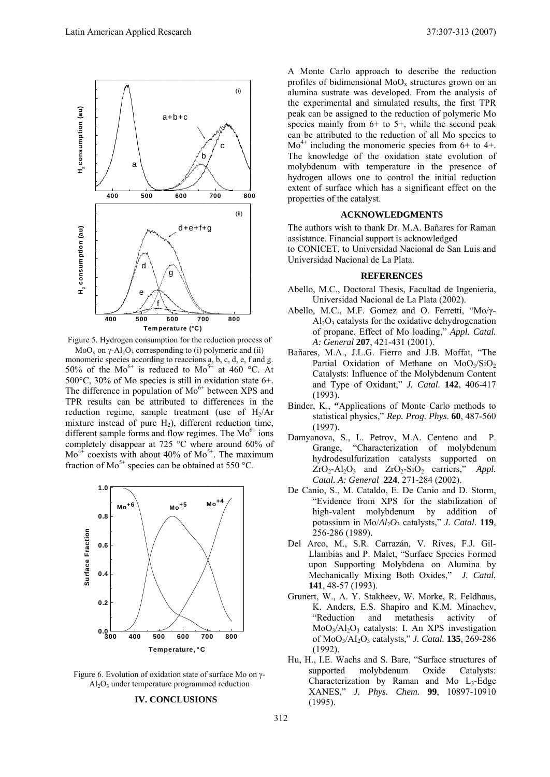

Figure 5. Hydrogen consumption for the reduction process of

 $MoO<sub>x</sub>$  on  $\gamma$ -Al<sub>2</sub>O<sub>3</sub> corresponding to (i) polymeric and (ii) monomeric species according to reaccions a, b, c, d, e, f and g. 50% of the Mo<sup>6+</sup> is reduced to Mo<sup>5+</sup> at 460 °C. At 500°C, 30% of Mo species is still in oxidation state 6+. The difference in population of  $Mo^{6+}$  between XPS and TPR results can be attributed to differences in the reduction regime, sample treatment (use of  $H<sub>2</sub>/Ar$ mixture instead of pure  $H_2$ ), different reduction time, different sample forms and flow regimes. The  $Mo^{6+}$  ions completely disappear at 725 °C where around 60% of  $Mo^{4+}$  coexists with about 40% of  $Mo^{5+}$ . The maximum fraction of  $Mo^{5+}$  species can be obtained at 550 °C.



Figure 6. Evolution of oxidation state of surface Mo on  $\gamma$ - $Al_2O_3$  under temperature programmed reduction

# **IV. CONCLUSIONS**

A Monte Carlo approach to describe the reduction profiles of bidimensional  $MoO<sub>x</sub>$  structures grown on an alumina sustrate was developed. From the analysis of the experimental and simulated results, the first TPR peak can be assigned to the reduction of polymeric Mo species mainly from  $6+$  to  $5+$ , while the second peak can be attributed to the reduction of all Mo species to  $Mo^{4+}$  including the monomeric species from 6+ to 4+. The knowledge of the oxidation state evolution of molybdenum with temperature in the presence of hydrogen allows one to control the initial reduction extent of surface which has a significant effect on the properties of the catalyst.

#### **ACKNOWLEDGMENTS**

The authors wish to thank Dr. M.A. Bañares for Raman assistance. Financial support is acknowledged to CONICET, to Universidad Nacional de San Luis and Universidad Nacional de La Plata.

# **REFERENCES**

- Abello, M.C., Doctoral Thesis, Facultad de Ingeniería, Universidad Nacional de La Plata (2002).
- Abello, M.C., M.F. Gomez and O. Ferretti, " $Mo/\gamma$ - $A<sub>1</sub>$ O<sub>3</sub> catalysts for the oxidative dehydrogenation of propane. Effect of Mo loading," *Appl. Catal. A: General* **207**, 421-431 (2001).
- Bañares, M.A., J.L.G. Fierro and J.B. Moffat, "The Partial Oxidation of Methane on MoO3/SiO2 Catalysts: Influence of the Molybdenum Content and Type of Oxidant," *J. Catal.* **142**, 406-417 (1993).
- Binder, K., **"**Applications of Monte Carlo methods to statistical physics," *Rep. Prog. Phys*. **60**, 487-560 (1997).
- Damyanova, S., L. Petrov, M.A. Centeno and P. Grange, "Characterization of molybdenum hydrodesulfurization catalysts supported on ZrO<sub>2</sub>-Al<sub>2</sub>O<sub>3</sub> and ZrO<sub>2</sub>-SiO<sub>2</sub> carriers," *Appl. Catal. A: General* **224**, 271-284 (2002).
- De Canio, S., M. Cataldo, E. De Canio and D. Storm, "Evidence from XPS for the stabilization of high-valent molybdenum by addition of potassium in  $Mo/Al_2O_3$  catalysts," *J. Catal.* **119**, 256-286 (1989).
- Del Arco, M., S.R. Carrazán, V. Rives, F.J. Gil-Llambías and P. Malet, "Surface Species Formed upon Supporting Molybdena on Alumina by Mechanically Mixing Both Oxides," *J. Catal.* **141**, 48-57 (1993).
- Grunert, W., A. Y. Stakheev, W. Morke, R. Feldhaus, K. Anders, E.S. Shapiro and K.M. Minachev, "Reduction and metathesis activity of  $MoO<sub>3</sub>/Al<sub>2</sub>O<sub>3</sub>$  catalysts: I. An XPS investigation of MoO3/AI2O3 catalysts," *J. Catal.* **135**, 269-286 (1992).
- Hu, H., I.E. Wachs and S. Bare, "Surface structures of supported molybdenum Oxide Catalysts: Characterization by Raman and Mo  $L_3$ -Edge XANES," *J. Phys. Chem.* **99**, 10897-10910 (1995).